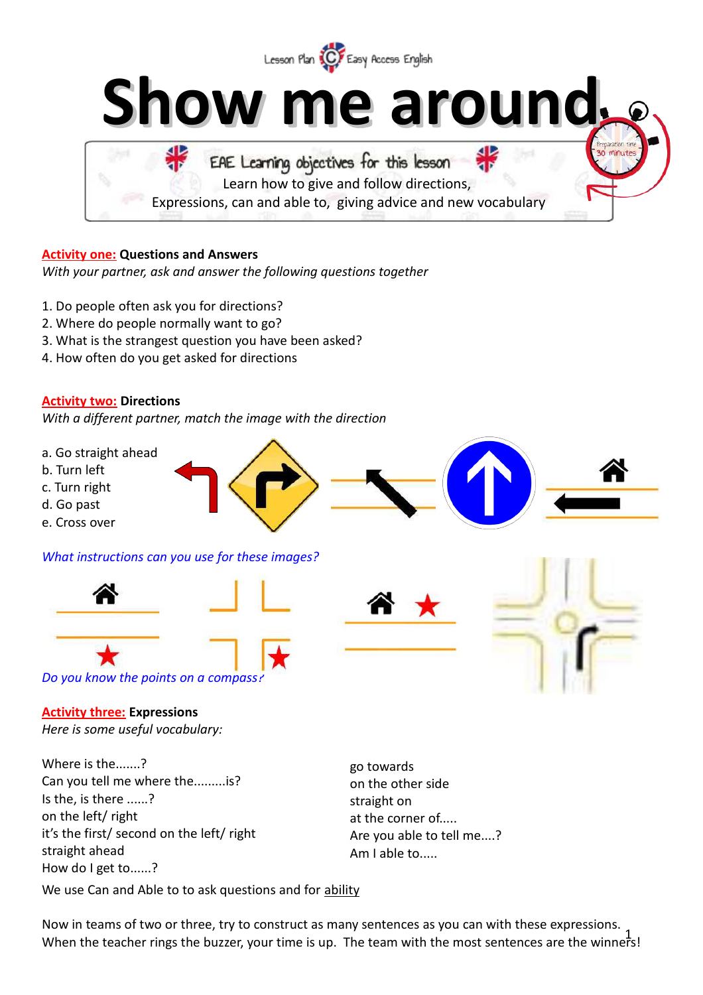

EAE Learning objectives for this lesson

Learn how to give and follow directions,

Expressions, can and able to, giving advice and new vocabulary

# **Activity one: Questions and Answers**

*With your partner, ask and answer the following questions together*

- 1. Do people often ask you for directions?
- 2. Where do people normally want to go?
- 3. What is the strangest question you have been asked?
- 4. How often do you get asked for directions

# **Activity two: Directions**

*With a different partner, match the image with the direction*

- a. Go straight ahead
- b. Turn left
- c. Turn right
- d. Go past
- e. Cross over

*What instructions can you use for these images?* 



# **Activity three: Expressions**

*Here is some useful vocabulary:*

Where is the.......? Can you tell me where the.........is? Is the, is there ......? on the left/ right it's the first/ second on the left/ right straight ahead How do I get to......?

go towards on the other side straight on at the corner of..... Are you able to tell me....? Am I able to.....

We use Can and Able to to ask questions and for ability

Now in teams of the of timely try to construct as many sentences as you can with these expressions. 1<br>When the teacher rings the buzzer, your time is up. The team with the most sentences are the winners! Now in teams of two or three, try to construct as many sentences as you can with these expressions.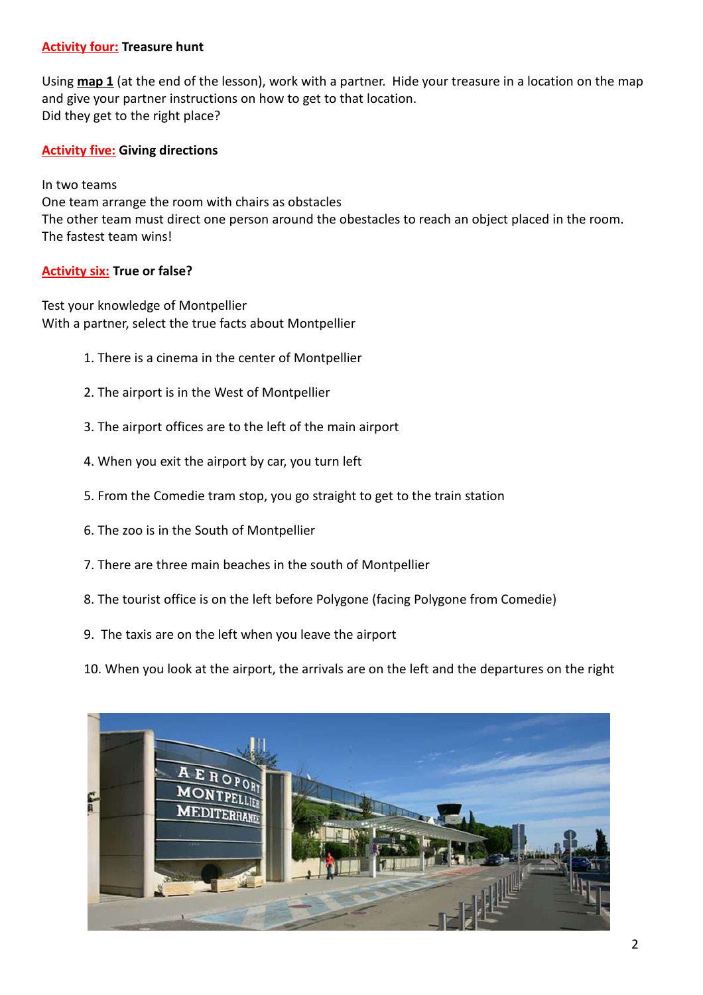# **Activity four: Treasure hunt**

Using **map 1** (at the end of the lesson), work with a partner. Hide your treasure in a location on the map and give your partner instructions on how to get to that location. Did they get to the right place?

### **Activity five: Giving directions**

In two teams One team arrange the room with chairs as obstacles The other team must direct one person around the obestacles to reach an object placed in the room. The fastest team wins!

### **Activity six: True or false?**

Test your knowledge of Montpellier With a partner, select the true facts about Montpellier

- 1. There is a cinema in the center of Montpellier
- 2. The airport is in the West of Montpellier
- 3. The airport offices are to the left of the main airport
- 4. When you exit the airport by car, you turn left
- 5. From the Comedie tram stop, you go straight to get to the train station
- 6. The zoo is in the South of Montpellier
- 7. There are three main beaches in the south of Montpellier
- 8. The tourist office is on the left before Polygone (facing Polygone from Comedie)
- 9. The taxis are on the left when you leave the airport
- 10. When you look at the airport, the arrivals are on the left and the departures on the right

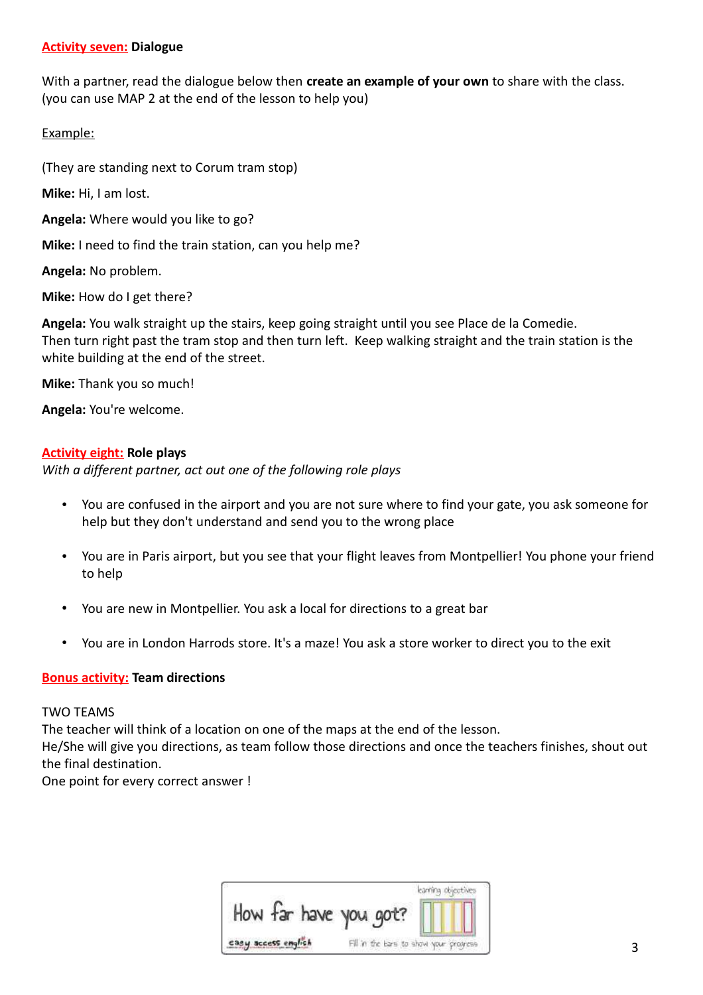### **Activity seven: Dialogue**

With a partner, read the dialogue below then **create an example of your own** to share with the class. (you can use MAP 2 at the end of the lesson to help you)

# Example:

(They are standing next to Corum tram stop)

**Mike:** Hi, I am lost.

**Angela:** Where would you like to go?

**Mike:** I need to find the train station, can you help me?

**Angela:** No problem.

**Mike:** How do I get there?

**Angela:** You walk straight up the stairs, keep going straight until you see Place de la Comedie. Then turn right past the tram stop and then turn left. Keep walking straight and the train station is the white building at the end of the street.

**Mike:** Thank you so much!

**Angela:** You're welcome.

### **Activity eight: Role plays**

*With a different partner, act out one of the following role plays*

- You are confused in the airport and you are not sure where to find your gate, you ask someone for help but they don't understand and send you to the wrong place
- You are in Paris airport, but you see that your flight leaves from Montpellier! You phone your friend to help
- You are new in Montpellier. You ask a local for directions to a great bar
- You are in London Harrods store. It's a maze! You ask a store worker to direct you to the exit

### **Bonus activity: Team directions**

#### TWO TEAMS

The teacher will think of a location on one of the maps at the end of the lesson.

He/She will give you directions, as team follow those directions and once the teachers finishes, shout out the final destination.

One point for every correct answer !

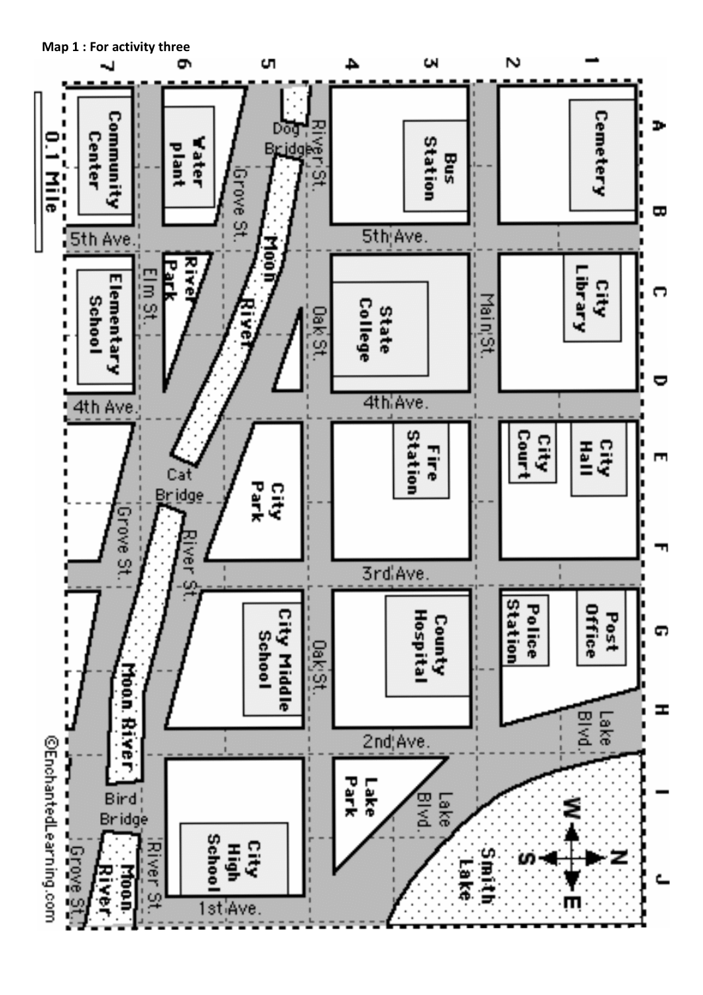